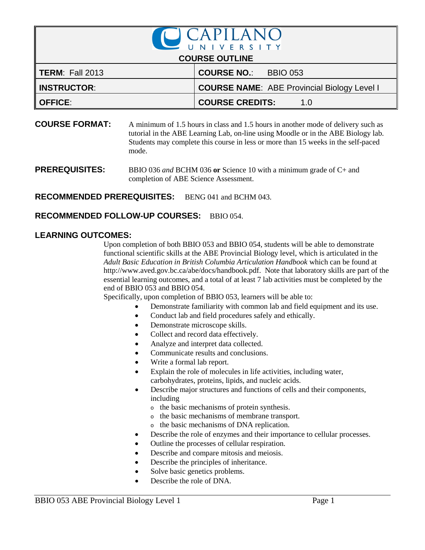

**COURSE FORMAT:** A minimum of 1.5 hours in class and 1.5 hours in another mode of delivery such as tutorial in the ABE Learning Lab, on-line using Moodle or in the ABE Biology lab. Students may complete this course in less or more than 15 weeks in the self-paced mode.

**PREREQUISITES:** BBIO 036 *and* BCHM 036 or Science 10 with a minimum grade of C+ and completion of ABE Science Assessment.

**RECOMMENDED PREREQUISITES:** BENG 041 and BCHM 043.

**RECOMMENDED FOLLOW-UP COURSES: BBIO 054.** 

## **LEARNING OUTCOMES:**

Upon completion of both BBIO 053 and BBIO 054, students will be able to demonstrate functional scientific skills at the ABE Provincial Biology level, which is articulated in the *Adult Basic Education in British Columbia Articulation Handbook* which can be found at http://www.aved.gov.bc.ca/abe/docs/handbook.pdf. Note that laboratory skills are part of the essential learning outcomes, and a total of at least 7 lab activities must be completed by the end of BBIO 053 and BBIO 054.

Specifically, upon completion of BBIO 053, learners will be able to:

- Demonstrate familiarity with common lab and field equipment and its use.
- Conduct lab and field procedures safely and ethically.
- Demonstrate microscope skills.
- Collect and record data effectively.
- Analyze and interpret data collected.
- Communicate results and conclusions.
- Write a formal lab report.
- Explain the role of molecules in life activities, including water, carbohydrates, proteins, lipids, and nucleic acids.
- Describe major structures and functions of cells and their components, including
	- <sup>o</sup> the basic mechanisms of protein synthesis.
	- <sup>o</sup> the basic mechanisms of membrane transport.
	- <sup>o</sup> the basic mechanisms of DNA replication.
- Describe the role of enzymes and their importance to cellular processes.
- Outline the processes of cellular respiration.
- Describe and compare mitosis and meiosis.
- Describe the principles of inheritance.
- Solve basic genetics problems.
- Describe the role of DNA.